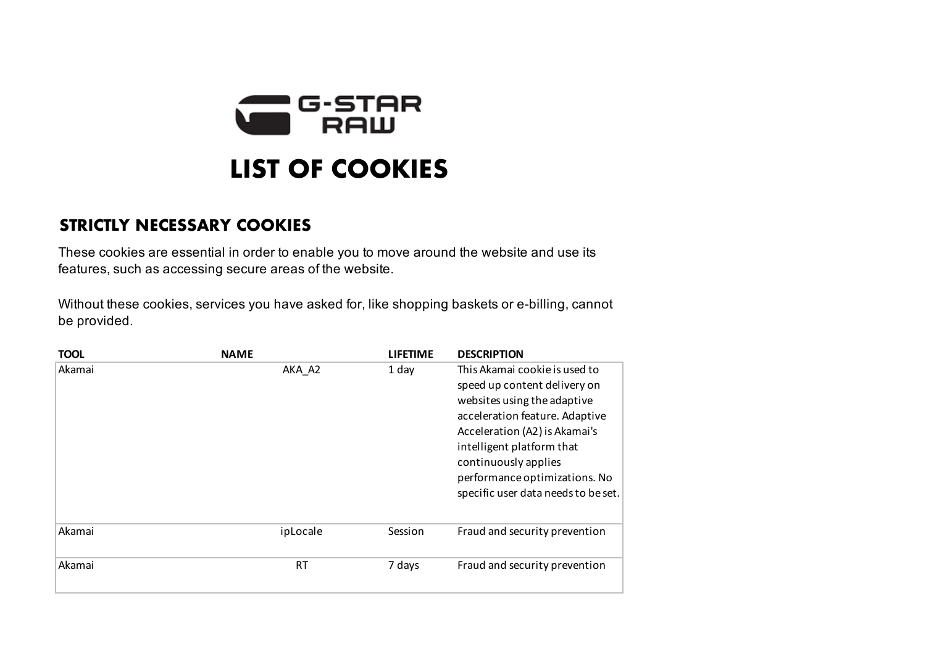

## **STRICTLY NECESSARY COOKIES**

These cookies are essential in order to enable you to move around the website and use its features, such as accessing secure areas of the website.

Without these cookies, services you have asked for, like shopping baskets or e-billing, cannot be provided.

| <b>TOOL</b> | <b>NAME</b> | <b>LIFETIME</b> | <b>DESCRIPTION</b>                                                                                                                                                                                                                                                                           |
|-------------|-------------|-----------------|----------------------------------------------------------------------------------------------------------------------------------------------------------------------------------------------------------------------------------------------------------------------------------------------|
| Akamai      | AKA A2      | 1 day           | This Akamai cookie is used to<br>speed up content delivery on<br>websites using the adaptive<br>acceleration feature. Adaptive<br>Acceleration (A2) is Akamai's<br>intelligent platform that<br>continuously applies<br>performance optimizations. No<br>specific user data needs to be set. |
| Akamai      | ipLocale    | Session         | Fraud and security prevention                                                                                                                                                                                                                                                                |
| Akamai      | RT.         | 7 days          | Fraud and security prevention                                                                                                                                                                                                                                                                |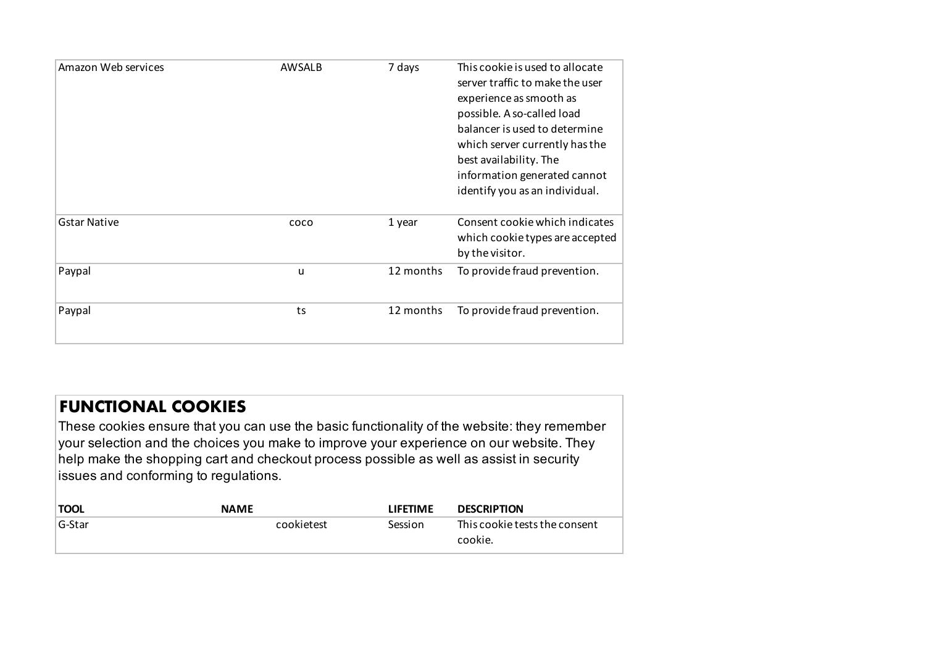| Amazon Web services | AWSALB | 7 days    | This cookie is used to allocate<br>server traffic to make the user<br>experience as smooth as<br>possible. A so-called load<br>balancer is used to determine<br>which server currently has the<br>best availability. The<br>information generated cannot |
|---------------------|--------|-----------|----------------------------------------------------------------------------------------------------------------------------------------------------------------------------------------------------------------------------------------------------------|
| <b>Gstar Native</b> | coco   | 1 year    | identify you as an individual.<br>Consent cookie which indicates<br>which cookie types are accepted<br>by the visitor.                                                                                                                                   |
| Paypal              | u      | 12 months | To provide fraud prevention.                                                                                                                                                                                                                             |
| Paypal              | ts     | 12 months | To provide fraud prevention.                                                                                                                                                                                                                             |

## **FUNCTIONAL COOKIES**

These cookies ensure that you can use the basic functionality of the website: they remember your selection and the choices you make to improve your experience on our website. They help make the shopping cart and checkout process possible as well as assist in security issues and conforming to regulations.

| <b>TOOL</b> | <b>NAME</b> | <b>LIFETIME</b> | <b>DESCRIPTION</b>                       |
|-------------|-------------|-----------------|------------------------------------------|
| ∣G-Star     | cookietest  | Session         | This cookie tests the consent<br>cookie. |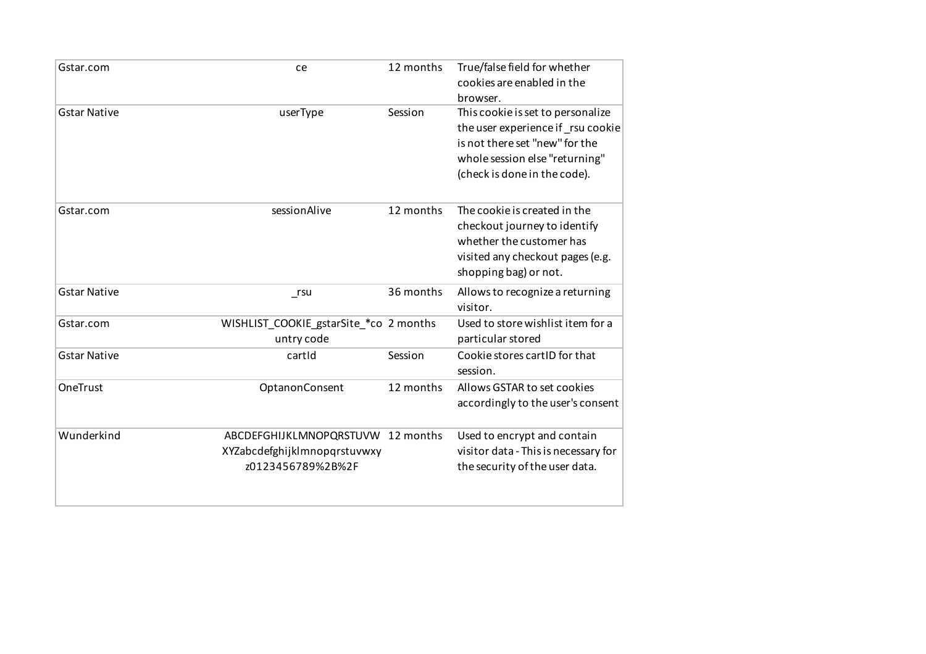| Gstar.com           | ce                                                                                     | 12 months | True/false field for whether<br>cookies are enabled in the<br>browser.                                                                                                     |
|---------------------|----------------------------------------------------------------------------------------|-----------|----------------------------------------------------------------------------------------------------------------------------------------------------------------------------|
| <b>Gstar Native</b> | userType                                                                               | Session   | This cookie is set to personalize<br>the user experience if rsu cookie<br>is not there set "new" for the<br>whole session else "returning"<br>(check is done in the code). |
| Gstar.com           | sessionAlive                                                                           | 12 months | The cookie is created in the<br>checkout journey to identify<br>whether the customer has<br>visited any checkout pages (e.g.<br>shopping bag) or not.                      |
| <b>Gstar Native</b> | $_{\text{rsu}}$                                                                        | 36 months | Allows to recognize a returning<br>visitor.                                                                                                                                |
| Gstar.com           | WISHLIST_COOKIE_gstarSite_*co 2 months<br>untry code                                   |           | Used to store wishlist item for a<br>particular stored                                                                                                                     |
| <b>Gstar Native</b> | cartId                                                                                 | Session   | Cookie stores cartID for that<br>session.                                                                                                                                  |
| OneTrust            | OptanonConsent                                                                         | 12 months | Allows GSTAR to set cookies<br>accordingly to the user's consent                                                                                                           |
| Wunderkind          | ABCDEFGHIJKLMNOPQRSTUVW 12 months<br>XYZabcdefghijklmnopqrstuvwxy<br>z0123456789%2B%2F |           | Used to encrypt and contain<br>visitor data - This is necessary for<br>the security of the user data.                                                                      |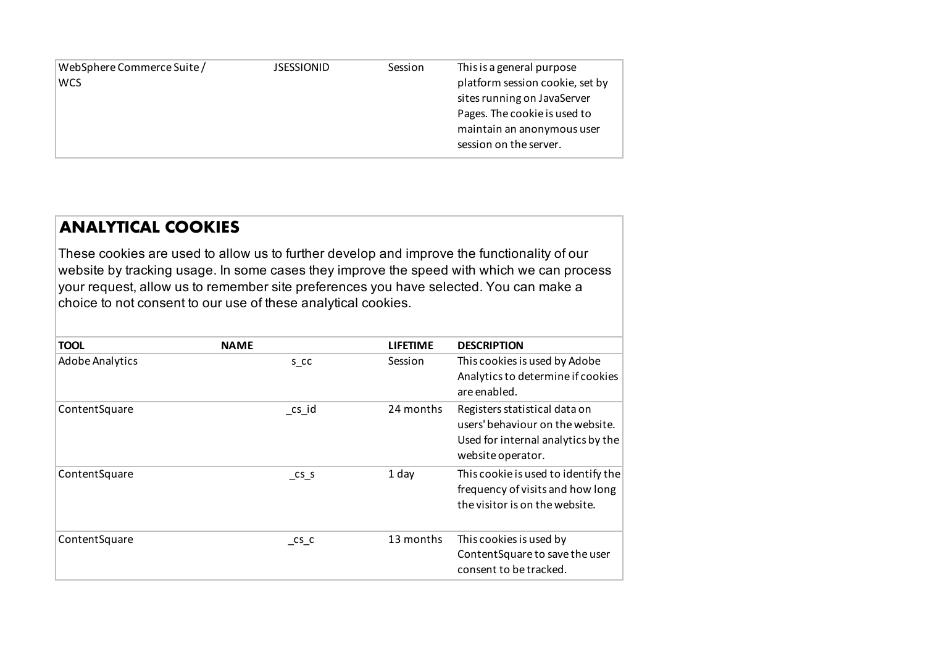| WebSphere Commerce Suite / | <b>JSESSIONID</b> | Session | This is a general purpose       |
|----------------------------|-------------------|---------|---------------------------------|
| <b>WCS</b>                 |                   |         | platform session cookie, set by |
|                            |                   |         | sites running on JavaServer     |
|                            |                   |         | Pages. The cookie is used to    |
|                            |                   |         | maintain an anonymous user      |
|                            |                   |         | session on the server.          |

## **ANALYTICAL COOKIES**

These cookies are used to allow us to further develop and improve the functionality of our website by tracking usage. In some cases they improve the speed with which we can process your request, allow us to remember site preferences you have selected. You can make a choice to not consent to our use of these analytical cookies.

| <b>TOOL</b>            | <b>NAME</b>                 | <b>LIFETIME</b> | <b>DESCRIPTION</b>                                                                                                           |
|------------------------|-----------------------------|-----------------|------------------------------------------------------------------------------------------------------------------------------|
| <b>Adobe Analytics</b> | s cc                        | Session         | This cookies is used by Adobe<br>Analytics to determine if cookies<br>are enabled.                                           |
| ContentSquare          | $\mathsf{c}$ s_id           | 24 months       | Registers statistical data on<br>users' behaviour on the website.<br>Used for internal analytics by the<br>website operator. |
| ContentSquare          | $\mathsf{CS}\_S$            | 1 day           | This cookie is used to identify the<br>frequency of visits and how long<br>the visitor is on the website.                    |
| ContentSquare          | $\mathsf{c}$ s $\mathsf{c}$ | 13 months       | This cookies is used by<br>ContentSquare to save the user<br>consent to be tracked.                                          |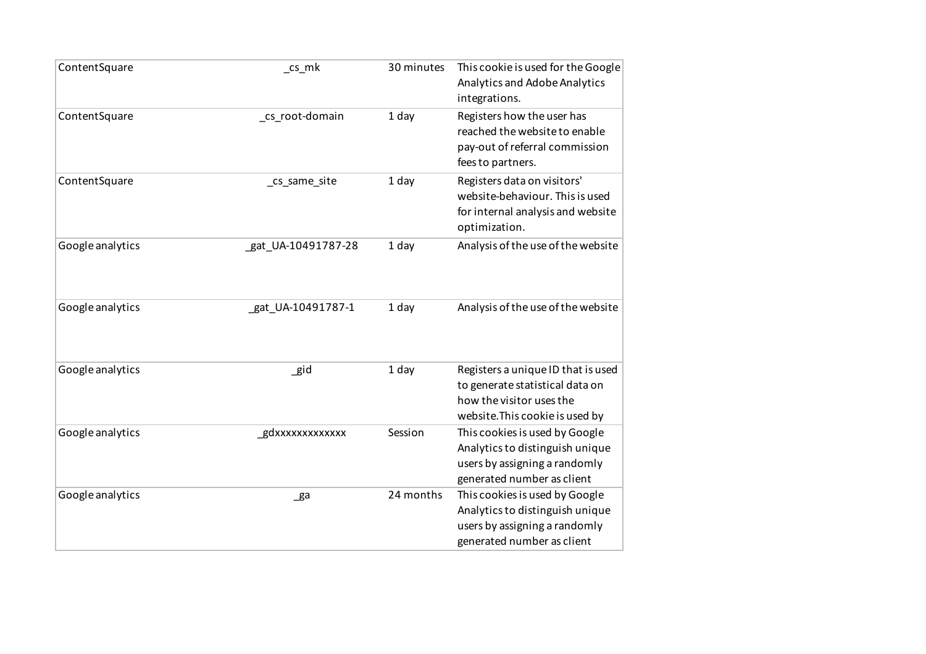| ContentSquare    | _cs_mk             | 30 minutes | This cookie is used for the Google<br>Analytics and Adobe Analytics<br>integrations.                                                 |
|------------------|--------------------|------------|--------------------------------------------------------------------------------------------------------------------------------------|
| ContentSquare    | _cs_root-domain    | 1 day      | Registers how the user has<br>reached the website to enable<br>pay-out of referral commission<br>fees to partners.                   |
| ContentSquare    | cs_same_site       | 1 day      | Registers data on visitors'<br>website-behaviour. This is used<br>for internal analysis and website<br>optimization.                 |
| Google analytics | gat_UA-10491787-28 | 1 day      | Analysis of the use of the website                                                                                                   |
| Google analytics | gat_UA-10491787-1  | 1 day      | Analysis of the use of the website                                                                                                   |
| Google analytics | _gid               | 1 day      | Registers a unique ID that is used<br>to generate statistical data on<br>how the visitor uses the<br>website. This cookie is used by |
| Google analytics | gdxxxxxxxxxxxxx    | Session    | This cookies is used by Google<br>Analytics to distinguish unique<br>users by assigning a randomly<br>generated number as client     |
| Google analytics | $\mathsf{g}$ a     | 24 months  | This cookies is used by Google<br>Analytics to distinguish unique<br>users by assigning a randomly<br>generated number as client     |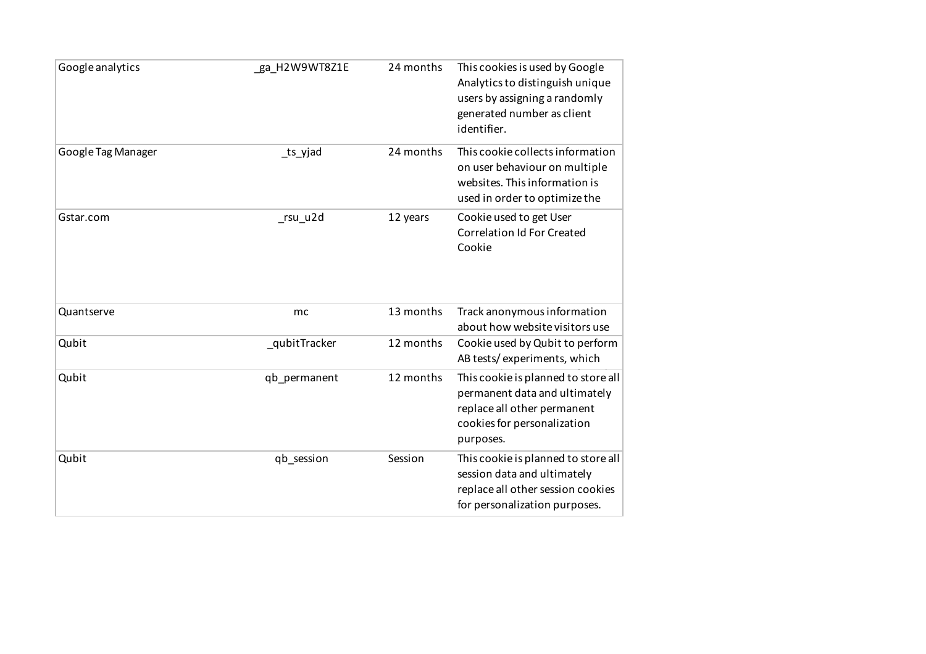| Google analytics   | _ga_H2W9WT8Z1E | 24 months | This cookies is used by Google<br>Analytics to distinguish unique<br>users by assigning a randomly<br>generated number as client<br>identifier. |
|--------------------|----------------|-----------|-------------------------------------------------------------------------------------------------------------------------------------------------|
| Google Tag Manager | _ts_yjad       | 24 months | This cookie collects information<br>on user behaviour on multiple<br>websites. This information is<br>used in order to optimize the             |
| Gstar.com          | _rsu_u2d       | 12 years  | Cookie used to get User<br><b>Correlation Id For Created</b><br>Cookie                                                                          |
| Quantserve         | mc             | 13 months | Track anonymous information<br>about how website visitors use                                                                                   |
| Qubit              | qubitTracker   | 12 months | Cookie used by Qubit to perform<br>AB tests/experiments, which                                                                                  |
| Qubit              | qb permanent   | 12 months | This cookie is planned to store all<br>permanent data and ultimately<br>replace all other permanent<br>cookies for personalization<br>purposes. |
| Qubit              | qb session     | Session   | This cookie is planned to store all<br>session data and ultimately<br>replace all other session cookies<br>for personalization purposes.        |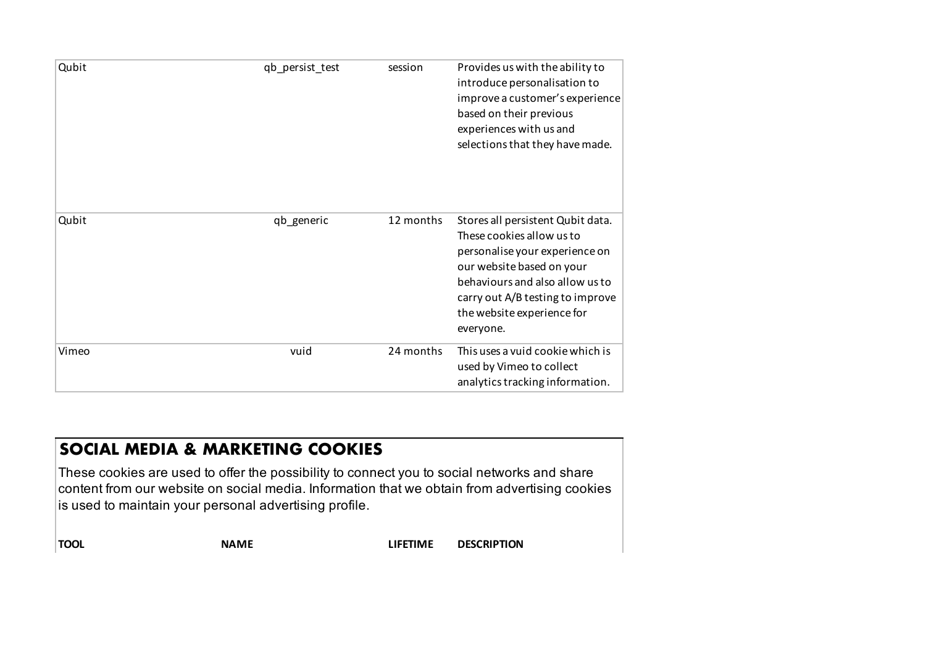| Qubit | qb_persist_test | session   | Provides us with the ability to<br>introduce personalisation to<br>improve a customer's experience<br>based on their previous<br>experiences with us and<br>selections that they have made.                                                     |
|-------|-----------------|-----------|-------------------------------------------------------------------------------------------------------------------------------------------------------------------------------------------------------------------------------------------------|
| Qubit | qb_generic      | 12 months | Stores all persistent Qubit data.<br>These cookies allow us to<br>personalise your experience on<br>our website based on your<br>behaviours and also allow us to<br>carry out A/B testing to improve<br>the website experience for<br>everyone. |
| Vimeo | vuid            | 24 months | This uses a vuid cookie which is<br>used by Vimeo to collect<br>analytics tracking information.                                                                                                                                                 |
|       |                 |           |                                                                                                                                                                                                                                                 |

## **SOCIAL MEDIA & MARKETING COOKIES**

These cookies are used to offer the possibility to connect you to social networks and share content from our website on social media. Information that we obtain from advertising cookies is used to maintain your personal advertising profile.

**TOOL NAME LIFETIME DESCRIPTION**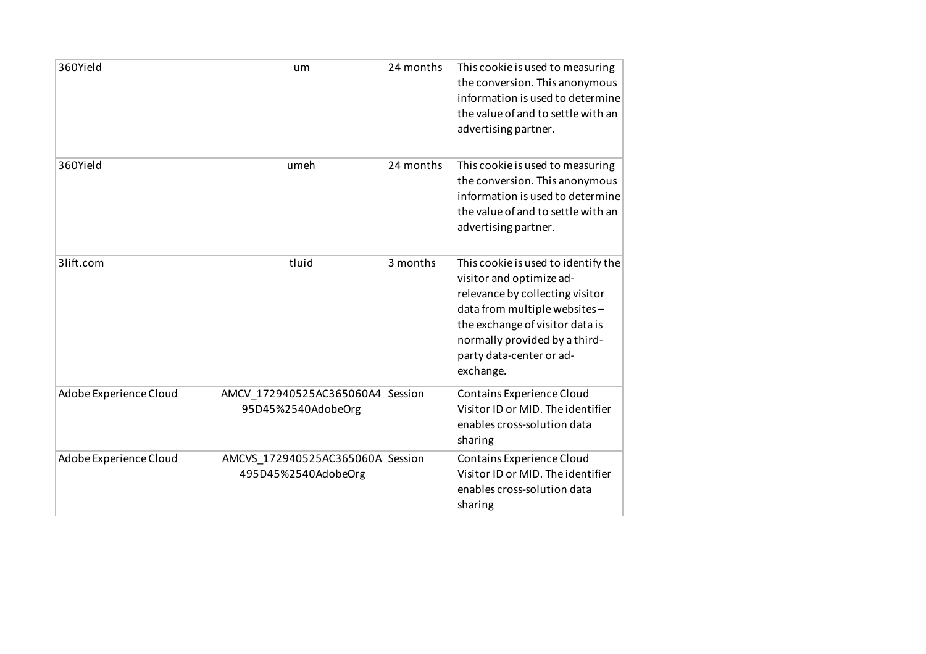| 360Yield               | um                                                      | 24 months | This cookie is used to measuring<br>the conversion. This anonymous<br>information is used to determine<br>the value of and to settle with an<br>advertising partner.                                                                            |
|------------------------|---------------------------------------------------------|-----------|-------------------------------------------------------------------------------------------------------------------------------------------------------------------------------------------------------------------------------------------------|
| 360Yield               | umeh                                                    | 24 months | This cookie is used to measuring<br>the conversion. This anonymous<br>information is used to determine<br>the value of and to settle with an<br>advertising partner.                                                                            |
| 3lift.com              | tluid                                                   | 3 months  | This cookie is used to identify the<br>visitor and optimize ad-<br>relevance by collecting visitor<br>data from multiple websites-<br>the exchange of visitor data is<br>normally provided by a third-<br>party data-center or ad-<br>exchange. |
| Adobe Experience Cloud | AMCV 172940525AC365060A4 Session<br>95D45%2540AdobeOrg  |           | Contains Experience Cloud<br>Visitor ID or MID. The identifier<br>enables cross-solution data<br>sharing                                                                                                                                        |
| Adobe Experience Cloud | AMCVS 172940525AC365060A Session<br>495D45%2540AdobeOrg |           | Contains Experience Cloud<br>Visitor ID or MID. The identifier<br>enables cross-solution data<br>sharing                                                                                                                                        |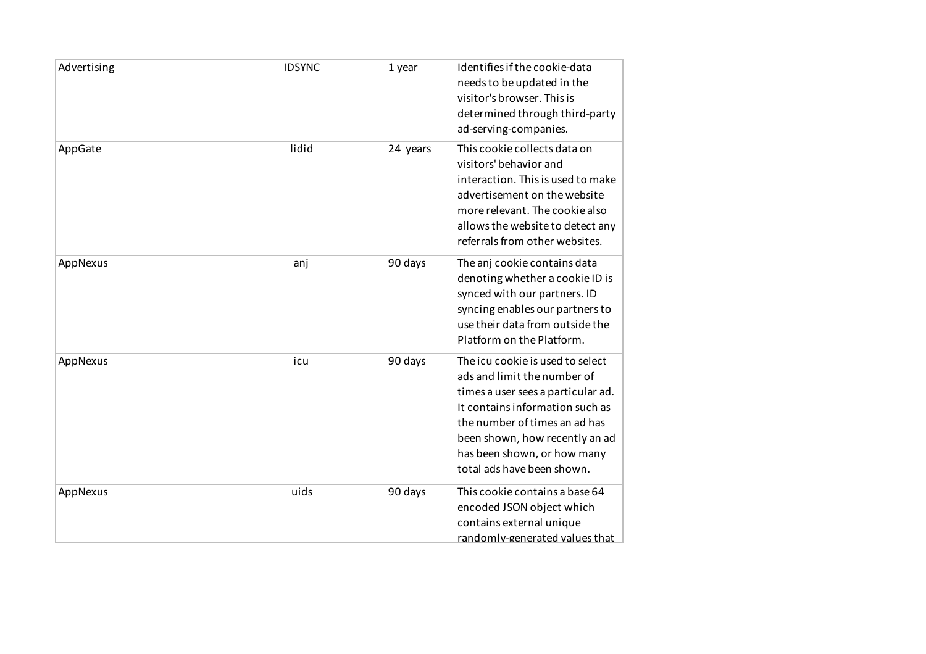| Advertising | <b>IDSYNC</b> | 1 year   | Identifies if the cookie-data<br>needs to be updated in the<br>visitor's browser. This is<br>determined through third-party<br>ad-serving-companies.                                                                                                                     |
|-------------|---------------|----------|--------------------------------------------------------------------------------------------------------------------------------------------------------------------------------------------------------------------------------------------------------------------------|
| AppGate     | lidid         | 24 years | This cookie collects data on<br>visitors' behavior and<br>interaction. This is used to make<br>advertisement on the website<br>more relevant. The cookie also<br>allows the website to detect any<br>referrals from other websites.                                      |
| AppNexus    | anj           | 90 days  | The anj cookie contains data<br>denoting whether a cookie ID is<br>synced with our partners. ID<br>syncing enables our partners to<br>use their data from outside the<br>Platform on the Platform.                                                                       |
| AppNexus    | icu           | 90 days  | The icu cookie is used to select<br>ads and limit the number of<br>times a user sees a particular ad.<br>It contains information such as<br>the number of times an ad has<br>been shown, how recently an ad<br>has been shown, or how many<br>total ads have been shown. |
| AppNexus    | uids          | 90 days  | This cookie contains a base 64<br>encoded JSON object which<br>contains external unique<br>randomly-generated values that                                                                                                                                                |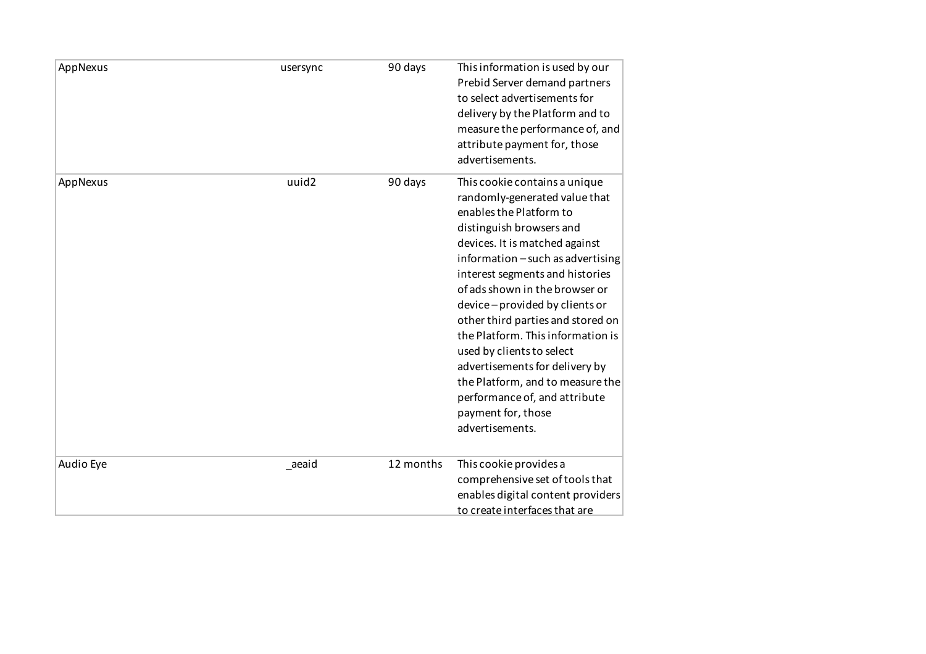| AppNexus  | usersync | 90 days   | This information is used by our<br>Prebid Server demand partners<br>to select advertisements for<br>delivery by the Platform and to<br>measure the performance of, and<br>attribute payment for, those<br>advertisements.                                                                                                                                                                                                                                                                                                                                 |
|-----------|----------|-----------|-----------------------------------------------------------------------------------------------------------------------------------------------------------------------------------------------------------------------------------------------------------------------------------------------------------------------------------------------------------------------------------------------------------------------------------------------------------------------------------------------------------------------------------------------------------|
| AppNexus  | uuid2    | 90 days   | This cookie contains a unique<br>randomly-generated value that<br>enables the Platform to<br>distinguish browsers and<br>devices. It is matched against<br>information - such as advertising<br>interest segments and histories<br>of ads shown in the browser or<br>device-provided by clients or<br>other third parties and stored on<br>the Platform. This information is<br>used by clients to select<br>advertisements for delivery by<br>the Platform, and to measure the<br>performance of, and attribute<br>payment for, those<br>advertisements. |
| Audio Eye | _aeaid   | 12 months | This cookie provides a<br>comprehensive set of tools that<br>enables digital content providers<br>to create interfaces that are                                                                                                                                                                                                                                                                                                                                                                                                                           |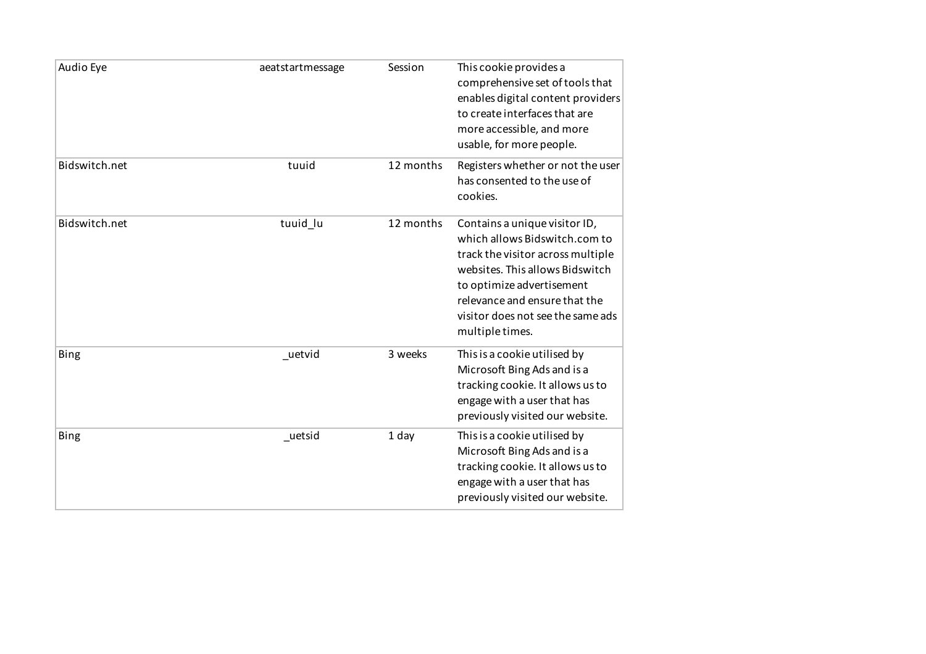| Audio Eye     | aeatstartmessage | Session   | This cookie provides a<br>comprehensive set of tools that<br>enables digital content providers<br>to create interfaces that are<br>more accessible, and more<br>usable, for more people.                                                                     |
|---------------|------------------|-----------|--------------------------------------------------------------------------------------------------------------------------------------------------------------------------------------------------------------------------------------------------------------|
| Bidswitch.net | tuuid            | 12 months | Registers whether or not the user<br>has consented to the use of<br>cookies.                                                                                                                                                                                 |
| Bidswitch.net | tuuid_lu         | 12 months | Contains a unique visitor ID,<br>which allows Bidswitch.com to<br>track the visitor across multiple<br>websites. This allows Bidswitch<br>to optimize advertisement<br>relevance and ensure that the<br>visitor does not see the same ads<br>multiple times. |
| <b>Bing</b>   | _uetvid          | 3 weeks   | This is a cookie utilised by<br>Microsoft Bing Ads and is a<br>tracking cookie. It allows us to<br>engage with a user that has<br>previously visited our website.                                                                                            |
| <b>Bing</b>   | uetsid           | 1 day     | This is a cookie utilised by<br>Microsoft Bing Ads and is a<br>tracking cookie. It allows us to<br>engage with a user that has<br>previously visited our website.                                                                                            |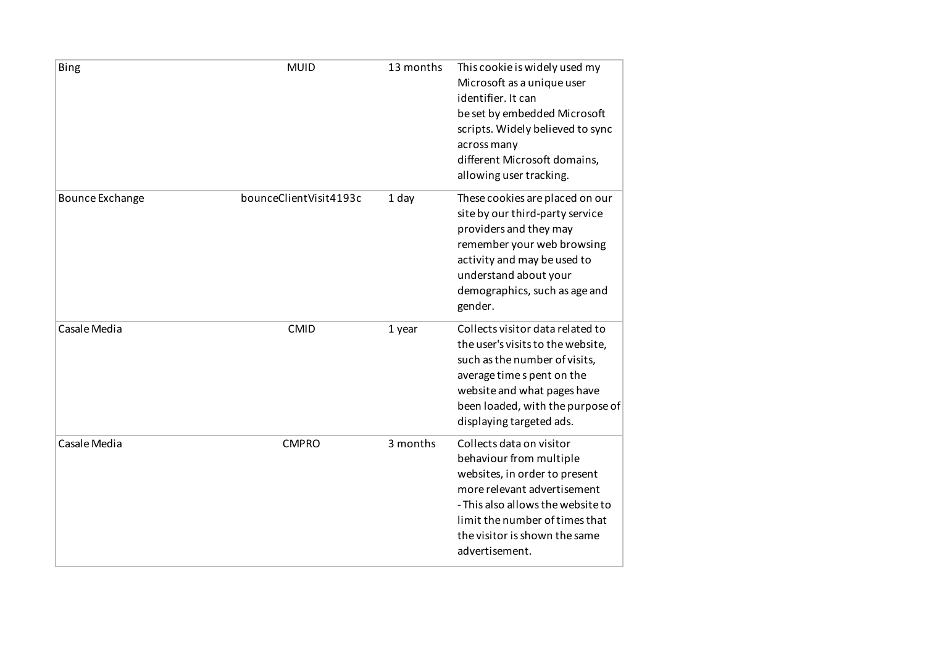| Bing                   | <b>MUID</b>            | 13 months | This cookie is widely used my<br>Microsoft as a unique user<br>identifier. It can<br>be set by embedded Microsoft<br>scripts. Widely believed to sync<br>across many<br>different Microsoft domains,<br>allowing user tracking.               |
|------------------------|------------------------|-----------|-----------------------------------------------------------------------------------------------------------------------------------------------------------------------------------------------------------------------------------------------|
| <b>Bounce Exchange</b> | bounceClientVisit4193c | 1 day     | These cookies are placed on our<br>site by our third-party service<br>providers and they may<br>remember your web browsing<br>activity and may be used to<br>understand about your<br>demographics, such as age and<br>gender.                |
| Casale Media           | <b>CMID</b>            | 1 year    | Collects visitor data related to<br>the user's visits to the website,<br>such as the number of visits,<br>average time s pent on the<br>website and what pages have<br>been loaded, with the purpose of<br>displaying targeted ads.           |
| Casale Media           | <b>CMPRO</b>           | 3 months  | Collects data on visitor<br>behaviour from multiple<br>websites, in order to present<br>more relevant advertisement<br>- This also allows the website to<br>limit the number of times that<br>the visitor is shown the same<br>advertisement. |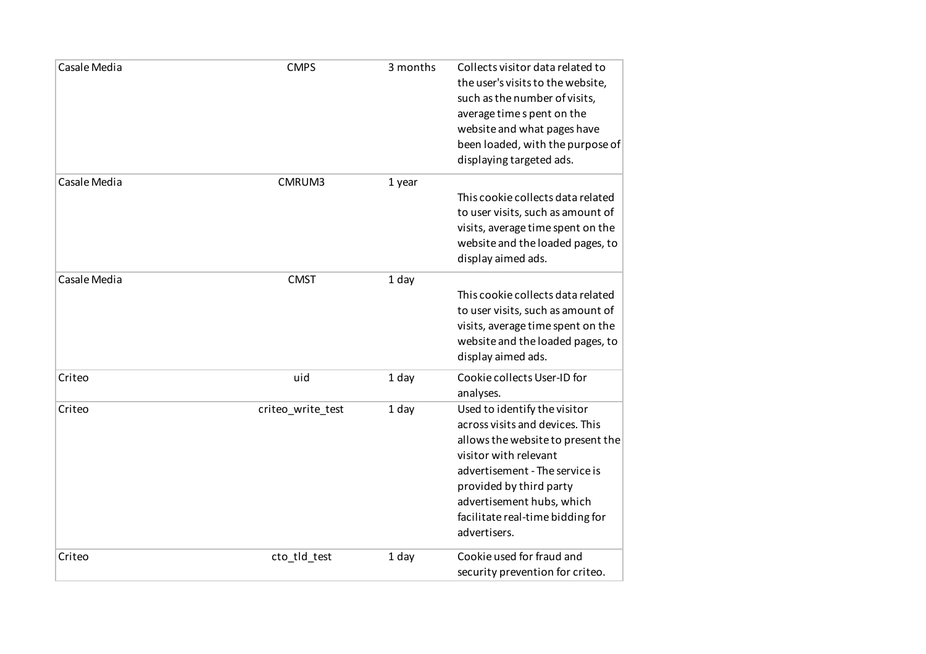| Casale Media | <b>CMPS</b>       | 3 months | Collects visitor data related to<br>the user's visits to the website,<br>such as the number of visits,<br>average time s pent on the<br>website and what pages have<br>been loaded, with the purpose of<br>displaying targeted ads.                                         |
|--------------|-------------------|----------|-----------------------------------------------------------------------------------------------------------------------------------------------------------------------------------------------------------------------------------------------------------------------------|
| Casale Media | CMRUM3            | 1 year   | This cookie collects data related<br>to user visits, such as amount of<br>visits, average time spent on the<br>website and the loaded pages, to<br>display aimed ads.                                                                                                       |
| Casale Media | <b>CMST</b>       | 1 day    | This cookie collects data related<br>to user visits, such as amount of<br>visits, average time spent on the<br>website and the loaded pages, to<br>display aimed ads.                                                                                                       |
| Criteo       | uid               | 1 day    | Cookie collects User-ID for<br>analyses.                                                                                                                                                                                                                                    |
| Criteo       | criteo_write_test | 1 day    | Used to identify the visitor<br>across visits and devices. This<br>allows the website to present the<br>visitor with relevant<br>advertisement - The service is<br>provided by third party<br>advertisement hubs, which<br>facilitate real-time bidding for<br>advertisers. |
| Criteo       | cto_tld_test      | 1 day    | Cookie used for fraud and<br>security prevention for criteo.                                                                                                                                                                                                                |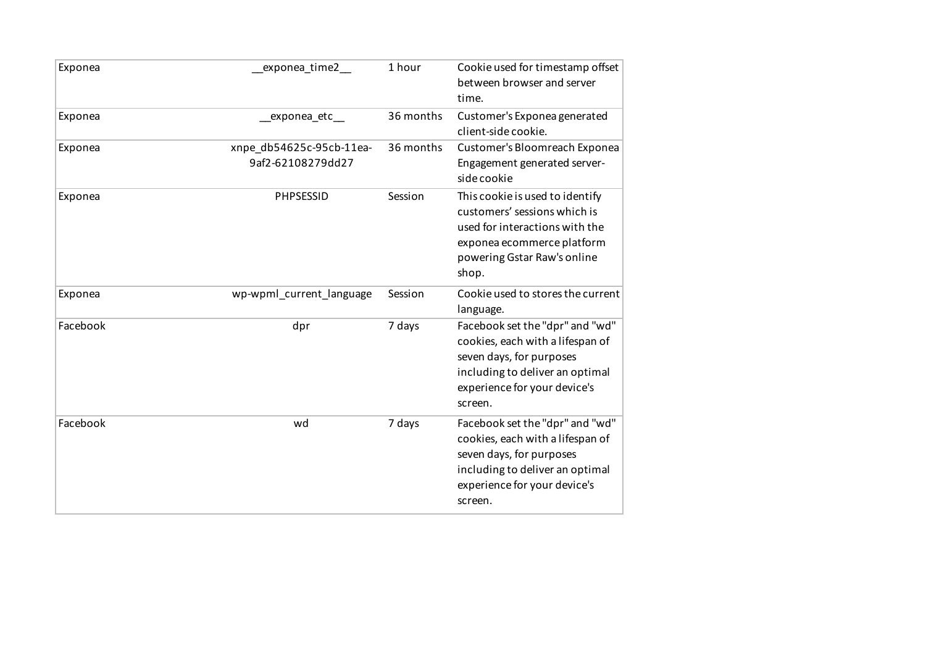| Exponea  | exponea_time2_                                | 1 hour    | Cookie used for timestamp offset<br>between browser and server<br>time.                                                                                                       |
|----------|-----------------------------------------------|-----------|-------------------------------------------------------------------------------------------------------------------------------------------------------------------------------|
| Exponea  | exponea_etc__                                 | 36 months | Customer's Exponea generated<br>client-side cookie.                                                                                                                           |
| Exponea  | xnpe_db54625c-95cb-11ea-<br>9af2-62108279dd27 | 36 months | Customer's Bloomreach Exponea<br>Engagement generated server-<br>side cookie                                                                                                  |
| Exponea  | PHPSESSID                                     | Session   | This cookie is used to identify<br>customers' sessions which is<br>used for interactions with the<br>exponea ecommerce platform<br>powering Gstar Raw's online<br>shop.       |
| Exponea  | wp-wpml_current_language                      | Session   | Cookie used to stores the current<br>language.                                                                                                                                |
| Facebook | dpr                                           | 7 days    | Facebook set the "dpr" and "wd"<br>cookies, each with a lifespan of<br>seven days, for purposes<br>including to deliver an optimal<br>experience for your device's<br>screen. |
| Facebook | wd                                            | 7 days    | Facebook set the "dpr" and "wd"<br>cookies, each with a lifespan of<br>seven days, for purposes<br>including to deliver an optimal<br>experience for your device's<br>screen. |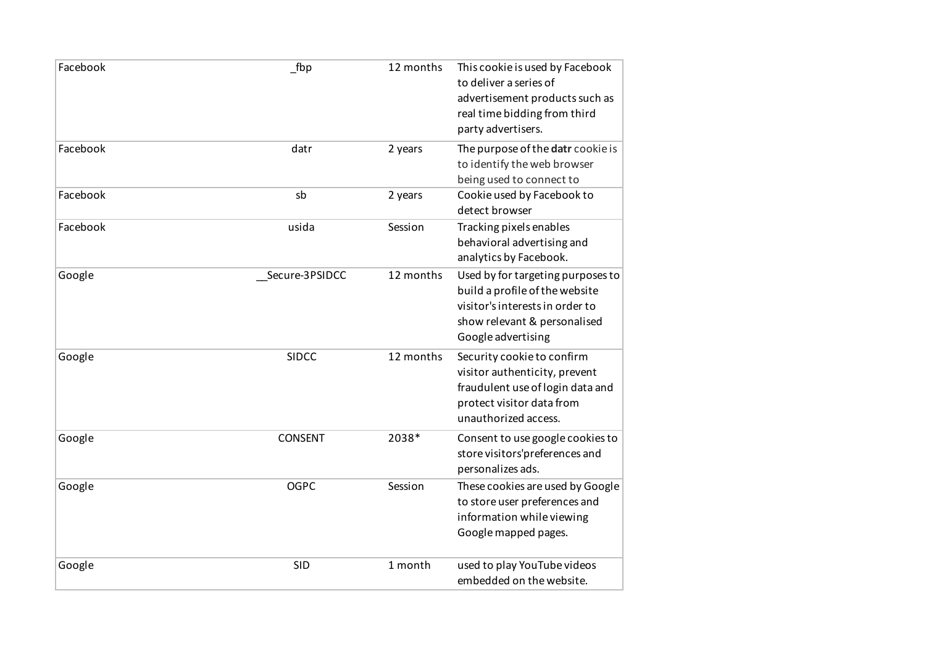| Facebook | fbp            | 12 months | This cookie is used by Facebook<br>to deliver a series of<br>advertisement products such as<br>real time bidding from third<br>party advertisers.            |
|----------|----------------|-----------|--------------------------------------------------------------------------------------------------------------------------------------------------------------|
| Facebook | datr           | 2 years   | The purpose of the datr cookie is<br>to identify the web browser<br>being used to connect to                                                                 |
| Facebook | sb             | 2 years   | Cookie used by Facebook to<br>detect browser                                                                                                                 |
| Facebook | usida          | Session   | Tracking pixels enables<br>behavioral advertising and<br>analytics by Facebook.                                                                              |
| Google   | Secure-3PSIDCC | 12 months | Used by for targeting purposes to<br>build a profile of the website<br>visitor's interests in order to<br>show relevant & personalised<br>Google advertising |
| Google   | <b>SIDCC</b>   | 12 months | Security cookie to confirm<br>visitor authenticity, prevent<br>fraudulent use of login data and<br>protect visitor data from<br>unauthorized access.         |
| Google   | <b>CONSENT</b> | 2038*     | Consent to use google cookies to<br>store visitors'preferences and<br>personalizes ads.                                                                      |
| Google   | <b>OGPC</b>    | Session   | These cookies are used by Google<br>to store user preferences and<br>information while viewing<br>Google mapped pages.                                       |
| Google   | <b>SID</b>     | 1 month   | used to play YouTube videos<br>embedded on the website.                                                                                                      |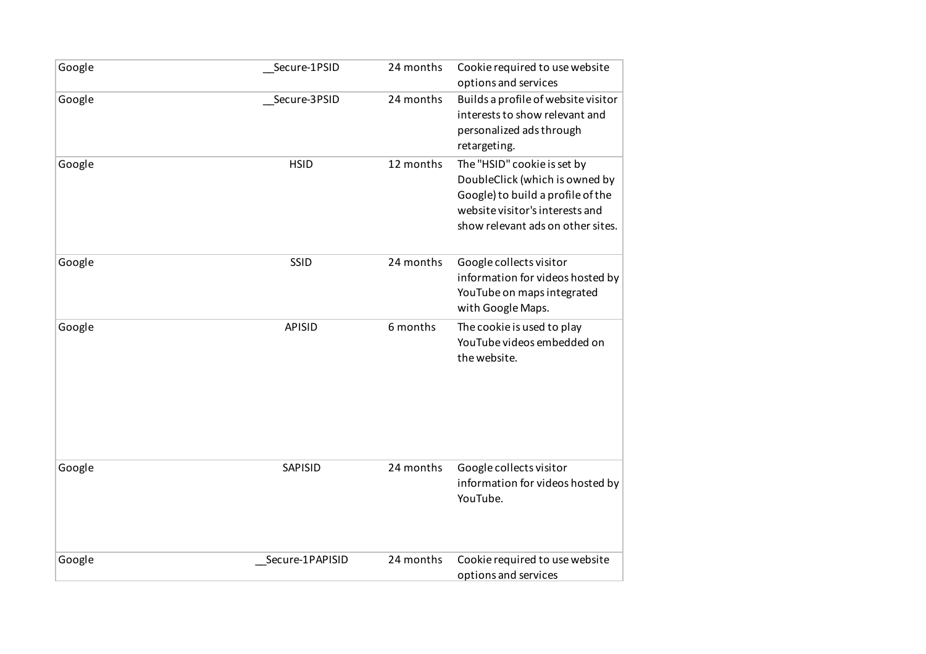| Google | Secure-1PSID    | 24 months | Cookie required to use website<br>options and services                                                                                                                     |
|--------|-----------------|-----------|----------------------------------------------------------------------------------------------------------------------------------------------------------------------------|
| Google | Secure-3PSID    | 24 months | Builds a profile of website visitor<br>interests to show relevant and<br>personalized ads through<br>retargeting.                                                          |
| Google | <b>HSID</b>     | 12 months | The "HSID" cookie is set by<br>DoubleClick (which is owned by<br>Google) to build a profile of the<br>website visitor's interests and<br>show relevant ads on other sites. |
| Google | SSID            | 24 months | Google collects visitor<br>information for videos hosted by<br>YouTube on maps integrated<br>with Google Maps.                                                             |
| Google | APISID          | 6 months  | The cookie is used to play<br>YouTube videos embedded on<br>the website.                                                                                                   |
| Google | SAPISID         | 24 months | Google collects visitor<br>information for videos hosted by<br>YouTube.                                                                                                    |
| Google | Secure-1PAPISID | 24 months | Cookie required to use website<br>options and services                                                                                                                     |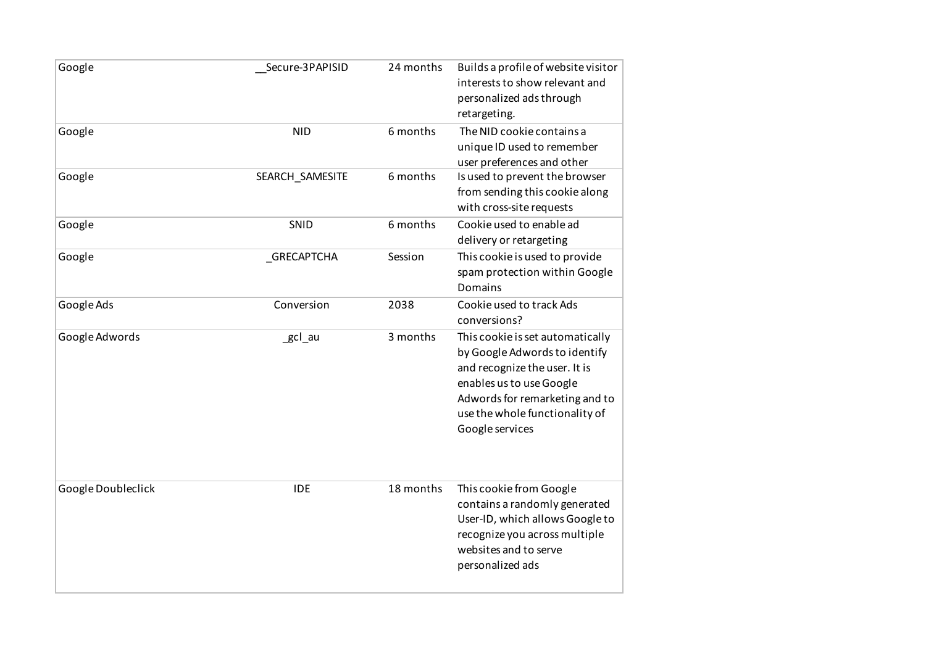| Google             | Secure-3PAPISID | 24 months | Builds a profile of website visitor<br>interests to show relevant and<br>personalized ads through<br>retargeting.                                                                                                     |
|--------------------|-----------------|-----------|-----------------------------------------------------------------------------------------------------------------------------------------------------------------------------------------------------------------------|
| Google             | <b>NID</b>      | 6 months  | The NID cookie contains a<br>unique ID used to remember<br>user preferences and other                                                                                                                                 |
| Google             | SEARCH_SAMESITE | 6 months  | Is used to prevent the browser<br>from sending this cookie along<br>with cross-site requests                                                                                                                          |
| Google             | SNID            | 6 months  | Cookie used to enable ad<br>delivery or retargeting                                                                                                                                                                   |
| Google             | _GRECAPTCHA     | Session   | This cookie is used to provide<br>spam protection within Google<br><b>Domains</b>                                                                                                                                     |
| Google Ads         | Conversion      | 2038      | Cookie used to track Ads<br>conversions?                                                                                                                                                                              |
| Google Adwords     | _gcl_au         | 3 months  | This cookie is set automatically<br>by Google Adwords to identify<br>and recognize the user. It is<br>enables us to use Google<br>Adwords for remarketing and to<br>use the whole functionality of<br>Google services |
| Google Doubleclick | <b>IDE</b>      | 18 months | This cookie from Google<br>contains a randomly generated<br>User-ID, which allows Google to<br>recognize you across multiple<br>websites and to serve<br>personalized ads                                             |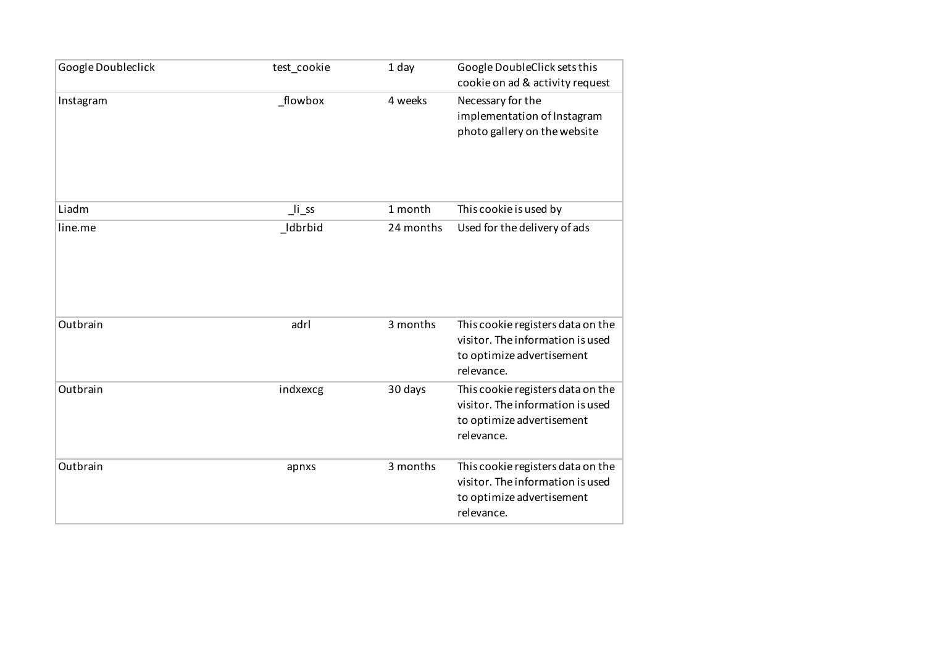| Google Doubleclick | test_cookie     | 1 day     | Google DoubleClick sets this                                                                                     |
|--------------------|-----------------|-----------|------------------------------------------------------------------------------------------------------------------|
|                    |                 |           | cookie on ad & activity request                                                                                  |
| Instagram          | _flowbox        | 4 weeks   | Necessary for the<br>implementation of Instagram<br>photo gallery on the website                                 |
| Liadm              | $\lfloor$ li_ss | 1 month   | This cookie is used by                                                                                           |
| line.me            | Idbrbid         | 24 months | Used for the delivery of ads                                                                                     |
| Outbrain           | adrl            | 3 months  | This cookie registers data on the<br>visitor. The information is used<br>to optimize advertisement<br>relevance. |
| Outbrain           | indxexcg        | 30 days   | This cookie registers data on the<br>visitor. The information is used<br>to optimize advertisement<br>relevance. |
| Outbrain           | apnxs           | 3 months  | This cookie registers data on the<br>visitor. The information is used<br>to optimize advertisement<br>relevance. |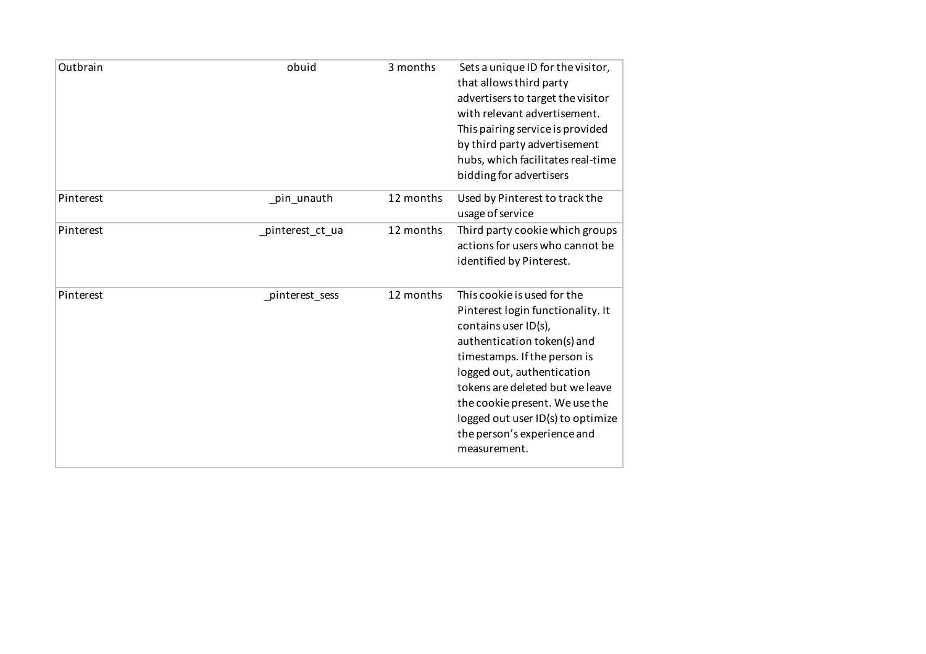| Outbrain  | obuid            | 3 months  | Sets a unique ID for the visitor,<br>that allows third party<br>advertisers to target the visitor<br>with relevant advertisement.<br>This pairing service is provided<br>by third party advertisement<br>hubs, which facilitates real-time<br>bidding for advertisers                                                                          |
|-----------|------------------|-----------|------------------------------------------------------------------------------------------------------------------------------------------------------------------------------------------------------------------------------------------------------------------------------------------------------------------------------------------------|
| Pinterest | _pin_unauth      | 12 months | Used by Pinterest to track the<br>usage of service                                                                                                                                                                                                                                                                                             |
| Pinterest | _pinterest_ct_ua | 12 months | Third party cookie which groups<br>actions for users who cannot be<br>identified by Pinterest.                                                                                                                                                                                                                                                 |
| Pinterest | _pinterest_sess  | 12 months | This cookie is used for the<br>Pinterest login functionality. It<br>contains user ID(s),<br>authentication token(s) and<br>timestamps. If the person is<br>logged out, authentication<br>tokens are deleted but we leave<br>the cookie present. We use the<br>logged out user ID(s) to optimize<br>the person's experience and<br>measurement. |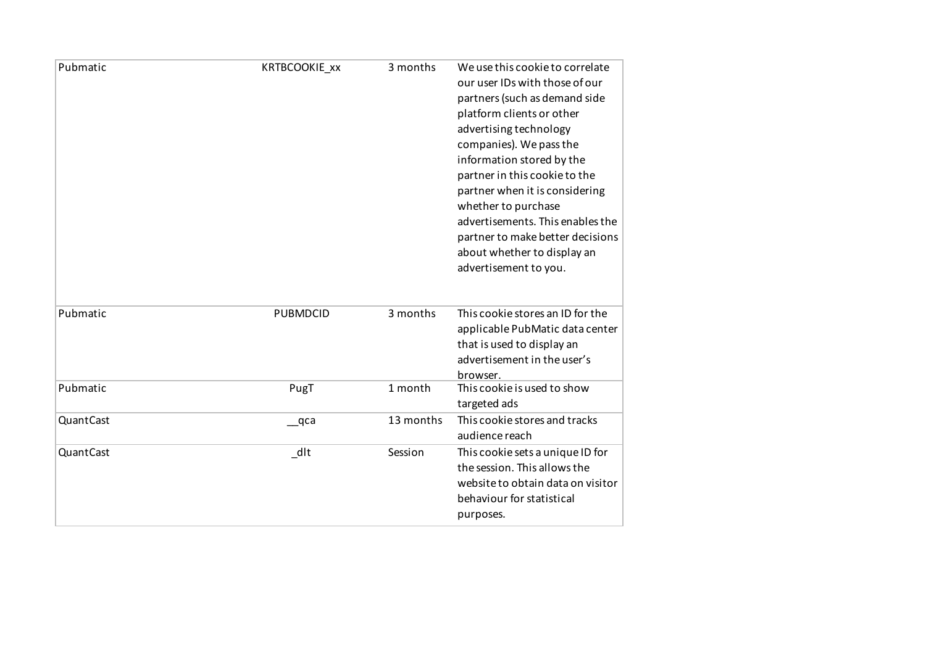| Pubmatic  | KRTBCOOKIE_xx   | 3 months  | We use this cookie to correlate<br>our user IDs with those of our<br>partners (such as demand side<br>platform clients or other<br>advertising technology<br>companies). We pass the<br>information stored by the<br>partner in this cookie to the<br>partner when it is considering<br>whether to purchase<br>advertisements. This enables the<br>partner to make better decisions<br>about whether to display an<br>advertisement to you. |
|-----------|-----------------|-----------|---------------------------------------------------------------------------------------------------------------------------------------------------------------------------------------------------------------------------------------------------------------------------------------------------------------------------------------------------------------------------------------------------------------------------------------------|
| Pubmatic  | <b>PUBMDCID</b> | 3 months  | This cookie stores an ID for the<br>applicable PubMatic data center<br>that is used to display an<br>advertisement in the user's<br>browser.                                                                                                                                                                                                                                                                                                |
| Pubmatic  | PugT            | 1 month   | This cookie is used to show<br>targeted ads                                                                                                                                                                                                                                                                                                                                                                                                 |
| QuantCast | $\equiv$ qca    | 13 months | This cookie stores and tracks<br>audience reach                                                                                                                                                                                                                                                                                                                                                                                             |
| QuantCast | dlt             | Session   | This cookie sets a unique ID for<br>the session. This allows the<br>website to obtain data on visitor<br>behaviour for statistical<br>purposes.                                                                                                                                                                                                                                                                                             |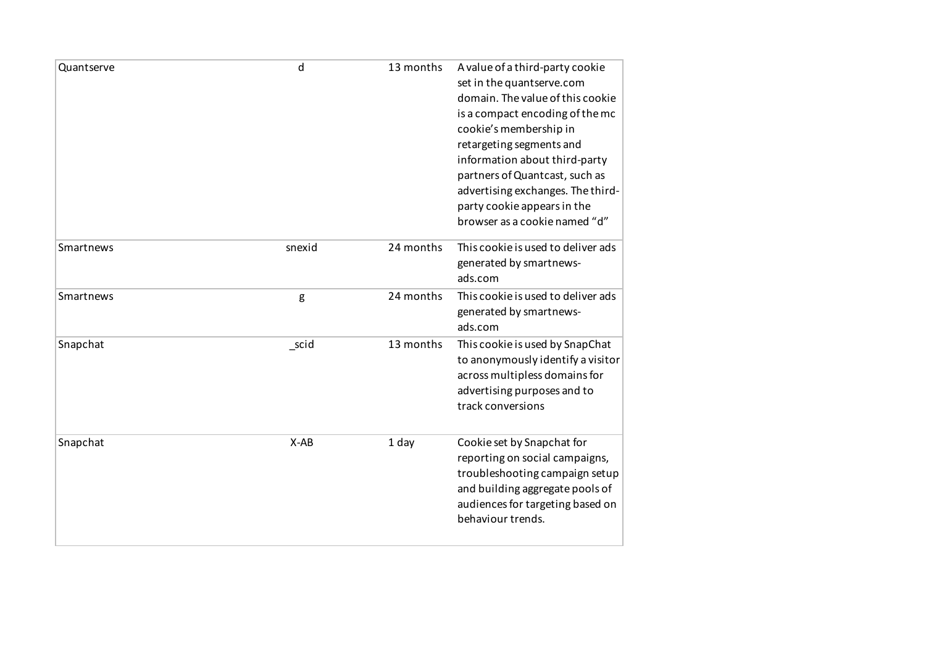| Quantserve | d      | 13 months | A value of a third-party cookie<br>set in the quantserve.com<br>domain. The value of this cookie<br>is a compact encoding of the mc<br>cookie's membership in<br>retargeting segments and<br>information about third-party<br>partners of Quantcast, such as<br>advertising exchanges. The third-<br>party cookie appears in the<br>browser as a cookie named "d" |
|------------|--------|-----------|-------------------------------------------------------------------------------------------------------------------------------------------------------------------------------------------------------------------------------------------------------------------------------------------------------------------------------------------------------------------|
| Smartnews  | snexid | 24 months | This cookie is used to deliver ads<br>generated by smartnews-<br>ads.com                                                                                                                                                                                                                                                                                          |
| Smartnews  | g      | 24 months | This cookie is used to deliver ads<br>generated by smartnews-<br>ads.com                                                                                                                                                                                                                                                                                          |
| Snapchat   | _scid  | 13 months | This cookie is used by SnapChat<br>to anonymously identify a visitor<br>across multipless domains for<br>advertising purposes and to<br>track conversions                                                                                                                                                                                                         |
| Snapchat   | $X-AB$ | 1 day     | Cookie set by Snapchat for<br>reporting on social campaigns,<br>troubleshooting campaign setup<br>and building aggregate pools of<br>audiences for targeting based on<br>behaviour trends.                                                                                                                                                                        |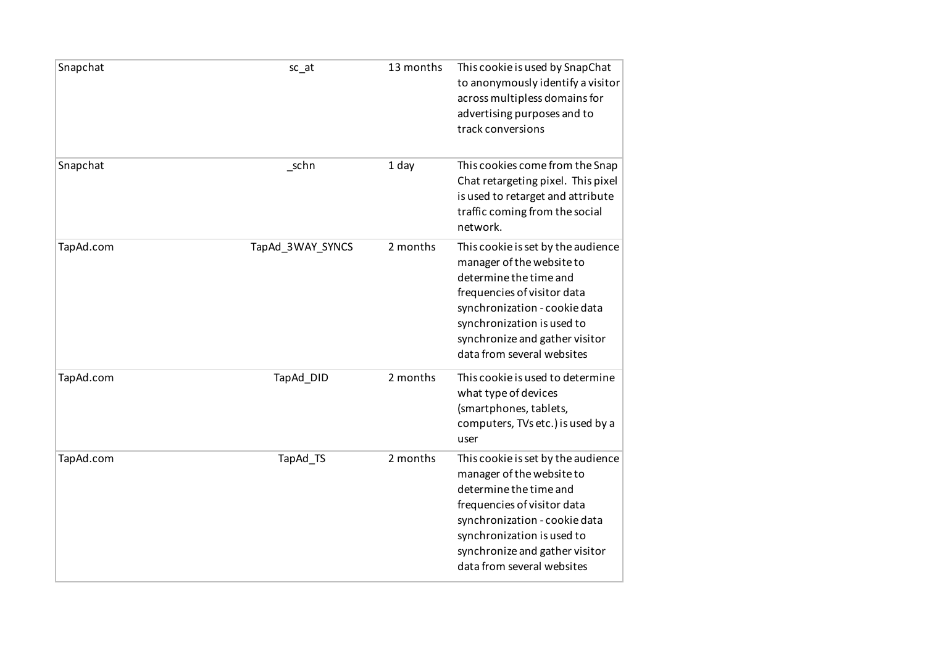| Snapchat  | sc <sub>at</sub> | 13 months | This cookie is used by SnapChat<br>to anonymously identify a visitor<br>across multipless domains for<br>advertising purposes and to<br>track conversions                                                                                               |
|-----------|------------------|-----------|---------------------------------------------------------------------------------------------------------------------------------------------------------------------------------------------------------------------------------------------------------|
| Snapchat  | $\_$ schn        | 1 day     | This cookies come from the Snap<br>Chat retargeting pixel. This pixel<br>is used to retarget and attribute<br>traffic coming from the social<br>network.                                                                                                |
| TapAd.com | TapAd_3WAY_SYNCS | 2 months  | This cookie is set by the audience<br>manager of the website to<br>determine the time and<br>frequencies of visitor data<br>synchronization - cookie data<br>synchronization is used to<br>synchronize and gather visitor<br>data from several websites |
| TapAd.com | TapAd_DID        | 2 months  | This cookie is used to determine<br>what type of devices<br>(smartphones, tablets,<br>computers, TVs etc.) is used by a<br>user                                                                                                                         |
| TapAd.com | TapAd_TS         | 2 months  | This cookie is set by the audience<br>manager of the website to<br>determine the time and<br>frequencies of visitor data<br>synchronization - cookie data<br>synchronization is used to<br>synchronize and gather visitor<br>data from several websites |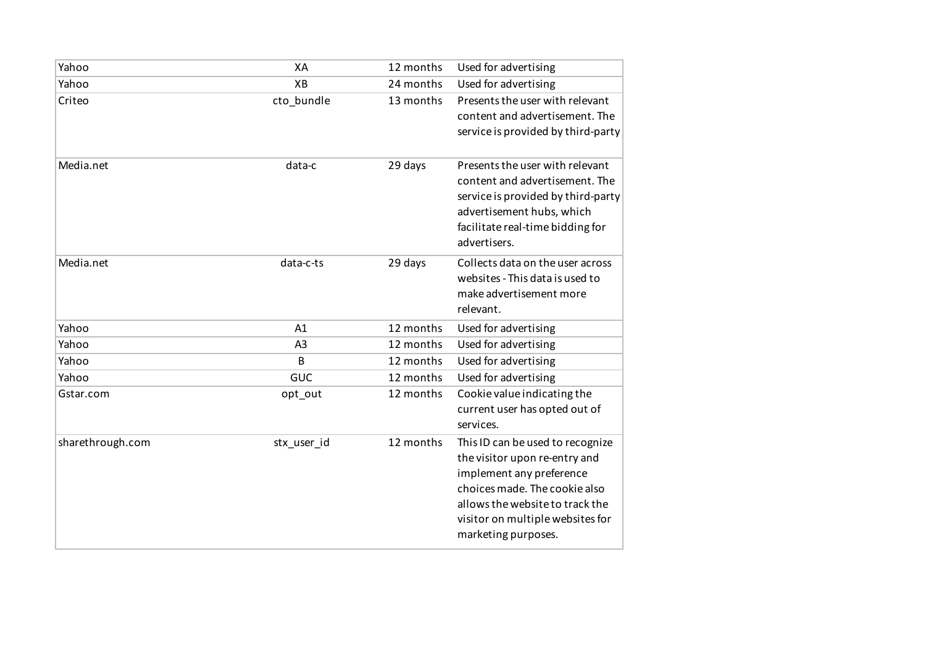| Yahoo            | XA             | 12 months | Used for advertising                                                                                                                                                                                                         |
|------------------|----------------|-----------|------------------------------------------------------------------------------------------------------------------------------------------------------------------------------------------------------------------------------|
| Yahoo            | XB             | 24 months | Used for advertising                                                                                                                                                                                                         |
| Criteo           | cto_bundle     | 13 months | Presents the user with relevant<br>content and advertisement. The<br>service is provided by third-party                                                                                                                      |
| Media.net        | data-c         | 29 days   | Presents the user with relevant<br>content and advertisement. The<br>service is provided by third-party<br>advertisement hubs, which<br>facilitate real-time bidding for<br>advertisers.                                     |
| Media.net        | data-c-ts      | 29 days   | Collects data on the user across<br>websites - This data is used to<br>make advertisement more<br>relevant.                                                                                                                  |
| Yahoo            | A1             | 12 months | Used for advertising                                                                                                                                                                                                         |
| Yahoo            | A <sub>3</sub> | 12 months | Used for advertising                                                                                                                                                                                                         |
| Yahoo            | B              | 12 months | Used for advertising                                                                                                                                                                                                         |
| Yahoo            | <b>GUC</b>     | 12 months | Used for advertising                                                                                                                                                                                                         |
| Gstar.com        | opt_out        | 12 months | Cookie value indicating the<br>current user has opted out of<br>services.                                                                                                                                                    |
| sharethrough.com | stx_user_id    | 12 months | This ID can be used to recognize<br>the visitor upon re-entry and<br>implement any preference<br>choices made. The cookie also<br>allows the website to track the<br>visitor on multiple websites for<br>marketing purposes. |